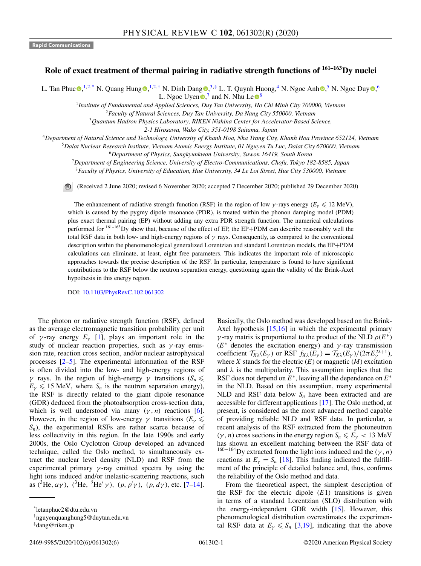## **Role of exact treatment of thermal pairing in radiative strength functions of 161–163Dy nuclei**

L. Tan Phu[c](https://orcid.org/0000-0003-1190-2424)  $\Phi$  $\Phi$  $\Phi$ [,](https://orcid.org/0000-0003-4342-8309) <sup>1,2,\*</sup> N. Quang Hung  $\Phi$ , <sup>1,2,†</sup> N. Dinh Dang  $\Phi$ ,<sup>3,‡</sup> L. T. Quynh Huong,<sup>4</sup> N. Ngoc Anh  $\Phi$ ,<sup>5</sup> N. Ngoc Duy  $\Phi$ ,<sup>6</sup> L. Ngoc Uye[n](https://orcid.org/0000-0002-0665-9434)  $\bullet$ , and N. Nhu Le  $\bullet$ <sup>[8](https://orcid.org/0000-0001-6097-143X)</sup>

<sup>1</sup>*Institute of Fundamental and Applied Sciences, Duy Tan University, Ho Chi Minh City 700000, Vietnam*

<sup>2</sup>*Faculty of Natural Sciences, Duy Tan University, Da Nang City 550000, Vietnam*

<sup>3</sup>*Quantum Hadron Physics Laboratory, RIKEN Nishina Center for Accelerator-Based Science,*

*2-1 Hirosawa, Wako City, 351-0198 Saitama, Japan*

<sup>4</sup>*Department of Natural Science and Technology, University of Khanh Hoa, Nha Trang City, Khanh Hoa Province 652124, Vietnam*

<sup>5</sup>*Dalat Nuclear Research Institute, Vietnam Atomic Energy Institute, 01 Nguyen Tu Luc, Dalat City 670000, Vietnam*

<sup>6</sup>*Department of Physics, Sungkyunkwan University, Suwon 16419, South Korea*

<sup>7</sup>*Department of Engineering Science, University of Electro-Communications, Chofu, Tokyo 182-8585, Japan*

<sup>8</sup>*Faculty of Physics, University of Education, Hue University, 34 Le Loi Street, Hue City 530000, Vietnam*

(Received 2 June 2020; revised 6 November 2020; accepted 7 December 2020; published 29 December 2020)

The enhancement of radiative strength function (RSF) in the region of low  $\gamma$ -rays energy ( $E_\gamma \leq 12$  MeV), which is caused by the pygmy dipole resonance (PDR), is treated within the phonon damping model (PDM) plus exact thermal pairing (EP) without adding any extra PDR strength function. The numerical calculations performed for <sup>161–163</sup>Dy show that, because of the effect of EP, the EP+PDM can describe reasonably well the total RSF data in both low- and high-energy regions of  $\gamma$  rays. Consequently, as compared to the conventional description within the phenomenological generalized Lorentzian and standard Lorentzian models, the EP+PDM calculations can eliminate, at least, eight free parameters. This indicates the important role of microscopic approaches towards the precise description of the RSF. In particular, temperature is found to have significant contributions to the RSF below the neutron separation energy, questioning again the validity of the Brink-Axel hypothesis in this energy region.

DOI: [10.1103/PhysRevC.102.061302](https://doi.org/10.1103/PhysRevC.102.061302)

The photon or radiative strength function (RSF), defined as the average electromagnetic transition probability per unit of  $\gamma$ -ray energy  $E_\gamma$  [\[1\]](#page-4-0), plays an important role in the study of nuclear reaction properties, such as  $\gamma$ -ray emission rate, reaction cross section, and/or nuclear astrophysical processes  $[2-5]$ . The experimental information of the RSF is often divided into the low- and high-energy regions of  $\gamma$  rays. In the region of high-energy  $\gamma$  transitions ( $S_n \leq$  $E_{\gamma} \leq 15$  MeV, where  $S_n$  is the neutron separation energy), the RSF is directly related to the giant dipole resonance (GDR) deduced from the photoabsorption cross-section data, which is well understood via many  $(\gamma, n)$  reactions [\[6\]](#page-4-0). However, in the region of low-energy  $\gamma$  transitions ( $E_\gamma \leq$  $S_n$ ), the experimental RSFs are rather scarce because of less collectivity in this region. In the late 1990s and early 2000s, the Oslo Cyclotron Group developed an advanced technique, called the Oslo method, to simultaneously extract the nuclear level density (NLD) and RSF from the experimental primary  $\gamma$ -ray emitted spectra by using the light ions induced and/or inelastic-scattering reactions, such as (<sup>3</sup>He,  $\alpha \gamma$ ), (<sup>3</sup>He, <sup>3</sup>He'  $\gamma$ ), (*p*,  $p' \gamma$ ), (*p*,  $d\gamma$ ), etc. [\[7–14\]](#page-4-0).

Basically, the Oslo method was developed based on the Brink-Axel hypothesis [\[15,16\]](#page-4-0) in which the experimental primary γ-ray matrix is proportional to the product of the NLD  $ρ(E^*)$  $(E^*$  denotes the excitation energy) and  $\gamma$ -ray transmission coefficient  $\mathcal{T}_{X\lambda}(E_\gamma)$  or RSF  $f_{X\lambda}(E_\gamma) = \mathcal{T}_{X\lambda}(E_\gamma)/(2\pi E_\gamma^{2\lambda+1}),$ where  $X$  stands for the electric  $(E)$  or magnetic  $(M)$  excitation and  $\lambda$  is the multipolarity. This assumption implies that the RSF does not depend on *E*∗, leaving all the dependence on *E*<sup>∗</sup> in the NLD. Based on this assumption, many experimental NLD and RSF data below  $S_n$  have been extracted and are accessible for different applications [\[17\]](#page-5-0). The Oslo method, at present, is considered as the most advanced method capable of providing reliable NLD and RSF data. In particular, a recent analysis of the RSF extracted from the photoneutron  $(\gamma, n)$  cross sections in the energy region  $S_n \le E_\gamma < 13$  MeV has shown an excellent matching between the RSF data of <sup>160−164</sup>Dy extracted from the light ions induced and the ( $\gamma$ , *n*) reactions at  $E_{\gamma} = S_n$  [\[18\]](#page-5-0). This finding indicated the fulfillment of the principle of detailed balance and, thus, confirms the reliability of the Oslo method and data.

From the theoretical aspect, the simplest description of the RSF for the electric dipole  $(E1)$  transitions is given in terms of a standard Lorentzian (SLO) distribution with the energy-independent GDR width [\[15\]](#page-4-0). However, this phenomenological distribution overestimates the experimental RSF data at  $E_{\gamma} \leq S_n$  [\[3](#page-4-0)[,19\]](#page-5-0), indicating that the above

<sup>\*</sup>letanphuc2@dtu.edu.vn

<sup>†</sup>nguyenquanghung5@duytan.edu.vn

<sup>‡</sup>dang@riken.jp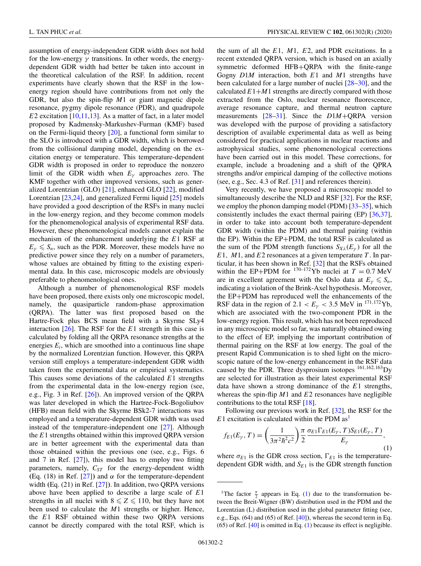<span id="page-1-0"></span>assumption of energy-independent GDR width does not hold for the low-energy  $\gamma$  transitions. In other words, the energydependent GDR width had better be taken into account in the theoretical calculation of the RSF. In addition, recent experiments have clearly shown that the RSF in the lowenergy region should have contributions from not only the GDR, but also the spin-flip *M*1 or giant magnetic dipole resonance, pygmy dipole resonance (PDR), and quadrupole *E*2 excitation [\[10,11,13\]](#page-4-0). As a matter of fact, in a later model proposed by Kadmensky-Markushev-Furman (KMF) based on the Fermi-liquid theory  $[20]$ , a functional form similar to the SLO is introduced with a GDR width, which is borrowed from the collisional damping model, depending on the excitation energy or temperature. This temperature-dependent GDR width is proposed in order to reproduce the nonzero limit of the GDR width when  $E<sub>γ</sub>$  approaches zero. The KMF together with other improved versions, such as generalized Lorentzian (GLO) [\[21\]](#page-5-0), enhanced GLO [\[22\]](#page-5-0), modified Lorentzian [\[23,24\]](#page-5-0), and generalized Fermi liquid [\[25\]](#page-5-0) models have provided a good description of the RSFs in many nuclei in the low-energy region, and they become common models for the phenomenological analysis of experimental RSF data. However, these phenomenological models cannot explain the mechanism of the enhancement underlying the *E*1 RSF at  $E_{\gamma} \leqslant S_n$ , such as the PDR. Moreover, these models have no predictive power since they rely on a number of parameters, whose values are obtained by fitting to the existing experimental data. In this case, microscopic models are obviously preferable to phenomenological ones.

Although a number of phenomenological RSF models have been proposed, there exists only one microscopic model, namely, the quasiparticle random-phase approximation (QRPA). The latter was first proposed based on the Hartre-Fock plus BCS mean field with a Skyrme SLy4 interaction [\[26\]](#page-5-0). The RSF for the *E*1 strength in this case is calculated by folding all the QRPA resonance strengths at the energies  $E_i$ , which are smoothed into a continuous line shape by the normalized Lorentzian function. However, this QRPA version still employs a temperature-independent GDR width taken from the experimental data or empirical systematics. This causes some deviations of the calculated *E*1 strengths from the experimental data in the low-energy region (see, e.g., Fig. 3 in Ref. [\[26\]](#page-5-0)). An improved version of the QRPA was later developed in which the Hartree-Fock-Bogoliubov (HFB) mean field with the Skyrme BSk2-7 interactions was employed and a temperature-dependent GDR width was used instead of the temperature-independent one [\[27\]](#page-5-0). Although the *E*1 strengths obtained within this improved QRPA version are in better agreement with the experimental data than those obtained within the previous one (see, e.g., Figs. 6 and 7 in Ref. [\[27\]](#page-5-0)), this model has to employ two fitting parameters, namely,  $C_{ST}$  for the energy-dependent width (Eq. (18) in Ref. [\[27\]](#page-5-0)) and  $\alpha$  for the temperature-dependent width **(**Eq. (21) in Ref. [\[27\]](#page-5-0)**)**. In addition, two QRPA versions above have been applied to describe a large scale of *E*1 strengths in all nuclei with  $8 \le Z \le 110$ , but they have not been used to calculate the *M*1 strengths or higher. Hence, the *E*1 RSF obtained within these two QRPA versions cannot be directly compared with the total RSF, which is

the sum of all the *E*1, *M*1, *E*2, and PDR excitations. In a recent extended QRPA version, which is based on an axially symmetric deformed HFB+QRPA with the finite-range Gogny *D*1*M* interaction, both *E*1 and *M*1 strengths have been calculated for a large number of nuclei [\[28–30\]](#page-5-0), and the calculated  $E1+M1$  strengths are directly compared with those extracted from the Oslo, nuclear resonance fluorescence, average resonance capture, and thermal neutron capture measurements [\[28–31\]](#page-5-0). Since the *D*1*M*+QRPA version was developed with the purpose of providing a satisfactory description of available experimental data as well as being considered for practical applications in nuclear reactions and astrophysical studies, some phenomenological corrections have been carried out in this model. These corrections, for example, include a broadening and a shift of the QPRA strengths and/or empirical damping of the collective motions (see, e.g., Sec. 4.3 of Ref. [\[31\]](#page-5-0) and references therein).

Very recently, we have proposed a microscopic model to simultaneously describe the NLD and RSF [\[32\]](#page-5-0). For the RSF, we employ the phonon damping model (PDM) [\[33–35\]](#page-5-0), which consistently includes the exact thermal pairing (EP) [\[36,37\]](#page-5-0), in order to take into account both temperature-dependent GDR width (within the PDM) and thermal pairing (within the EP). Within the EP+PDM, the total RSF is calculated as the sum of the PDM strength functions  $S_{X\lambda}(E_{\nu})$  for all the *E*1, *M*1, and *E*2 resonances at a given temperature *T* . In particular, it has been shown in Ref. [\[32\]](#page-5-0) that the RSFs obtained within the EP+PDM for  $^{170-172}$ Yb nuclei at  $T = 0.7$  MeV are in excellent agreement with the Oslo data at  $E_\gamma \leqslant S_n$ , indicating a violation of the Brink-Axel hypothesis. Moreover, the EP+PDM has reproduced well the enhancements of the RSF data in the region of 2.1  $\lt E_y \lt 3.5$  MeV in <sup>171,172</sup>Yb, which are associated with the two-component PDR in the low-energy region. This result, which has not been reproduced in any microscopic model so far, was naturally obtained owing to the effect of EP, implying the important contribution of thermal pairing on the RSF at low energy. The goal of the present Rapid Communication is to shed light on the microscopic nature of the low-energy enhancement in the RSF data caused by the PDR. Three dysprosium isotopes  $^{161,162,163}$ Dy are selected for illustration as their latest experimental RSF data have shown a strong dominance of the *E*1 strengths, whereas the spin-flip *M*1 and *E*2 resonances have negligible contributions to the total RSF [\[18\]](#page-5-0).

Following our previous work in Ref. [\[32\]](#page-5-0), the RSF for the  $E1$  excitation is calculated within the PDM as<sup>1</sup>

$$
f_{E1}(E_{\gamma}, T) = \left(\frac{1}{3\pi^2 \hbar^2 c^2}\right) \frac{\pi}{2} \frac{\sigma_{E1} \Gamma_{E1}(E_{\gamma}, T) S_{E1}(E_{\gamma}, T)}{E_{\gamma}},
$$
\n(1)

where  $\sigma_{E1}$  is the GDR cross section,  $\Gamma_{E1}$  is the temperaturedependent GDR width, and  $S_{E1}$  is the GDR strength function

<sup>&</sup>lt;sup>1</sup>The factor  $\frac{\pi}{2}$  appears in Eq. (1) due to the transformation between the Breit-Wigner (BW) distribution used in the PDM and the Lorentzian (L) distribution used in the global parameter fitting **(**see, e.g., Eqs. (64) and (65) of Ref. [\[40\]](#page-5-0)**)**, whereas the second term in Eq.  $(65)$  of Ref.  $[40]$  is omitted in Eq.  $(1)$  because its effect is negligible.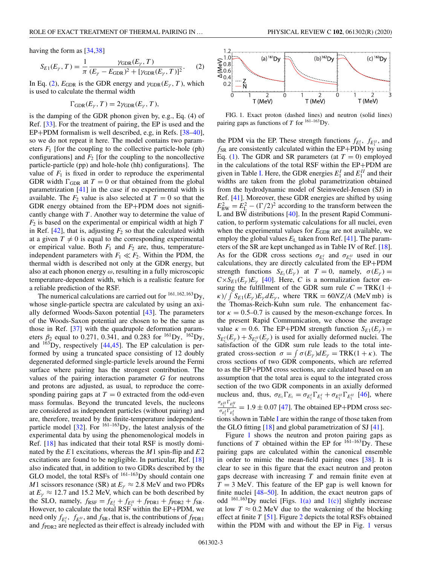having the form as [\[34,38\]](#page-5-0)

$$
S_{E1}(E_{\gamma}, T) = \frac{1}{\pi} \frac{\gamma_{\text{GDR}}(E_{\gamma}, T)}{(E_{\gamma} - E_{\text{GDR}})^2 + [\gamma_{\text{GDR}}(E_{\gamma}, T)]^2}.
$$
 (2)

In Eq. (2),  $E_{GDR}$  is the GDR energy and  $\gamma_{GDR}(E_{\nu}, T)$ , which is used to calculate the thermal width

$$
\Gamma_{\text{GDR}}(E_{\gamma}, T) = 2\gamma_{\text{GDR}}(E_{\gamma}, T),
$$

is the damping of the GDR phonon given by, e.g., Eq. (4) of Ref. [\[33\]](#page-5-0). For the treatment of pairing, the EP is used and the EP+PDM formalism is well described, e.g, in Refs. [\[38–40\]](#page-5-0), so we do not repeat it here. The model contains two parameters  $F_1$  [for the coupling to the collective particle-hole (ph) configurations] and  $F_2$  [for the coupling to the noncollective particle-particle (pp) and hole-hole (hh) configurations]. The value of  $F_1$  is fixed in order to reproduce the experimental GDR width  $\Gamma_{\text{GDR}}$  at  $T = 0$  or that obtained from the global parametrization [\[41\]](#page-5-0) in the case if no experimental width is available. The  $F_2$  value is also selected at  $T = 0$  so that the GDR energy obtained from the EP+PDM does not significantly change with *T* . Another way to determine the value of *F*<sup>2</sup> is based on the experimental or empirical width at high *T* in Ref.  $[42]$ , that is, adjusting  $F_2$  so that the calculated width at a given  $T \neq 0$  is equal to the corresponding experimental or empirical value. Both  $F_1$  and  $F_2$  are, thus, temperatureindependent parameters with  $F_1 \ll F_2$ . Within the PDM, the thermal width is described not only at the GDR energy, but also at each phonon energy  $\omega$ , resulting in a fully microscopic temperature-dependent width, which is a realistic feature for a reliable prediction of the RSF.

The numerical calculations are carried out for  $^{161,162,163}$  Dy, whose single-particle spectra are calculated by using an axially deformed Woods-Saxon potential [\[43\]](#page-5-0). The parameters of the Woods-Saxon potential are chosen to be the same as those in Ref. [\[37\]](#page-5-0) with the quadrupole deformation parameters  $\beta_2$  equal to 0.271, 0.341, and 0.283 for <sup>161</sup>Dy, <sup>162</sup>Dy, and  $163$  Dy, respectively [\[44,45\]](#page-5-0). The EP calculation is performed by using a truncated space consisting of 12 doubly degenerated deformed single-particle levels around the Fermi surface where pairing has the strongest contribution. The values of the pairing interaction parameter *G* for neutrons and protons are adjusted, as usual, to reproduce the corresponding pairing gaps at  $T = 0$  extracted from the odd-even mass formulas. Beyond the truncated levels, the nucleons are considered as independent particles (without pairing) and are, therefore, treated by the finite-temperature independentparticle model  $[32]$ . For  $^{161-163}$ Dy, the latest analysis of the experimental data by using the phenomenological models in Ref. [\[18\]](#page-5-0) has indicated that their total RSF is mostly dominated by the *E*1 excitations, whereas the *M*1 spin-flip and *E*2 excitations are found to be negligible. In particular, Ref. [\[18\]](#page-5-0) also indicated that, in addition to two GDRs described by the GLO model, the total RSFs of  $161-163$  Dy should contain one *M*1 scissors resonance (SR) at  $E<sub>V</sub> \approx 2.8$  MeV and two PDRs at  $E<sub>y</sub> \approx 12.7$  and 15.2 MeV, which can be both described by the SLO, namely,  $f_{RSF} = f_{E_1^I} + f_{E_1^{II}} + f_{PDR1} + f_{PDR2} + f_{SR}$ . However, to calculate the total RSF within the EP+PDM, we need only  $f_{E_1}$ ,  $f_{E_1^{\text{II}}}$ , and  $f_{SR}$ , that is, the contributions of  $f_{\text{PDR1}}$ and  $f_{\text{PDR2}}$  are neglected as their effect is already included with





FIG. 1. Exact proton (dashed lines) and neutron (solid lines) pairing gaps as functions of *T* for  $^{161-163}$ Dy.

the PDM via the EP. These strength functions  $f_{E_1^l}$ ,  $f_{E_1^l}$ , and  $f_{SR}$  are consistently calculated within the EP+PDM by using Eq. [\(1\)](#page-1-0). The GDR and SR parameters (at  $T = 0$ ) employed in the calculations of the total RSF within the EP+PDM are given in Table [I.](#page-3-0) Here, the GDR energies  $E_1^I$  and  $E_1^{II}$  and their widths are taken from the global parametrization obtained from the hydrodynamic model of Steinwedel-Jensen (SJ) in Ref. [\[41\]](#page-5-0). Moreover, these GDR energies are shifted by using  $E_{\text{BW}}^2 = E_{\text{L}}^2 - (\Gamma/2)^2$  according to the transform between the L and BW distributions [\[40\]](#page-5-0). In the present Rapid Communication, to perform systematic calculations for all nuclei, even when the experimental values for  $E_{GDR}$  are not available, we employ the global values  $E<sub>L</sub>$  taken from Ref. [\[41\]](#page-5-0). The parameters of the SR are kept unchanged as in Table IV of Ref. [\[18\]](#page-5-0). As for the GDR cross sections  $\sigma_{E_1^I}$  and  $\sigma_{E_1^I}$  used in our calculations, they are directly calculated from the EP+PDM strength functions  $S_{E_1}(E_\gamma)$  at  $T=0$ , namely,  $\sigma(E_\gamma)$  =  $C \times S_{E1}(E_v)E_v$  [\[40\]](#page-5-0). Here, *C* is a normalization factor ensuring the fulfillment of the GDR sum rule  $C = \text{TRK}(1 + \frac{1}{2})$  $\kappa$ )/  $\int S_{E1}(E_\gamma) E_\gamma dE_\gamma$ , where TRK = 60*NZ*/*A* (MeV mb) is the Thomas-Reich-Kuhn sum rule. The enhancement factor  $\kappa = 0.5{\text -}0.7$  is caused by the meson-exchange forces. In the present Rapid Communication, we choose the average value  $\kappa = 0.6$ . The EP+PDM strength function  $S_{E_1}(E_\gamma) =$  $S_{E_1'}(E_\gamma) + S_{E_1''}(E_\gamma)$  is used for axially deformed nuclei. The satisfaction of the GDR sum rule leads to the total integrated cross-section  $\sigma = \int \sigma(E_{\gamma}) dE_{\gamma} = \text{TRK}(1 + \kappa)$ . The cross sections of two GDR components, which are referred to as the EP+PDM cross sections, are calculated based on an assumption that the total area is equal to the integrated cross section of the two GDR components in an axially deformed nucleus and, thus,  $\sigma_{E_1} \Gamma_{E_1} = \sigma_{E_1'} \Gamma_{E_1'} + \sigma_{E_1''} \Gamma_{E_1''}$  [\[46\]](#page-5-0), where  $\frac{\sigma_{E_1^H} \Gamma_{E_1^H}}{\sigma_{E_1^I} \Gamma_{E_1^I}} = 1.9 \pm 0.07$  [\[47\]](#page-5-0). The obtained EP+PDM cross sections shown in Table [I](#page-3-0) are within the range of those taken from the GLO fitting [\[18\]](#page-5-0) and global parametrization of SJ [\[41\]](#page-5-0).

Figure 1 shows the neutron and proton pairing gaps as functions of *T* obtained within the EP for  $161-163$  Dy. These pairing gaps are calculated within the canonical ensemble in order to mimic the mean-field pairing ones [\[38\]](#page-5-0). It is clear to see in this figure that the exact neutron and proton gaps decrease with increasing *T* and remain finite even at  $T = 3$  MeV. This feature of the EP gap is well known for finite nuclei [\[48–50\]](#page-5-0). In addition, the exact neutron gaps of odd  $^{161,163}$ Dy nuclei [Figs. 1(a) and 1(c)] slightly increase at low  $T \approx 0.2$  MeV due to the weakening of the blocking effect at finite *T* [\[51\]](#page-5-0). Figure [2](#page-3-0) depicts the total RSFs obtained within the PDM with and without the EP in Fig. 1 versus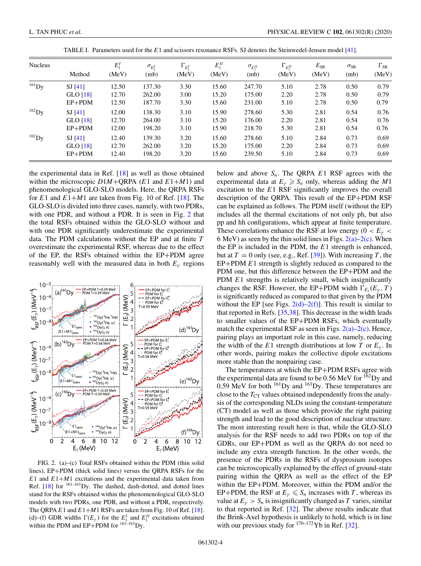<span id="page-3-0"></span>

| <b>Nucleus</b> | Method             | $E_1^I$<br>(MeV) | $\sigma_{E_1^I}$<br>(mb) | $\Gamma_{E_1^I}$<br>(MeV) | $E_1^{II}$<br>(MeV) | $\sigma_{E}$<br>(mb) | $\Gamma_{E_1^H}$<br>(MeV) | $E_{SR}$<br>(MeV) | $\sigma_{\rm SR}$<br>(mb) | $\Gamma_{\rm SR}$<br>(MeV) |
|----------------|--------------------|------------------|--------------------------|---------------------------|---------------------|----------------------|---------------------------|-------------------|---------------------------|----------------------------|
|                |                    |                  |                          |                           |                     |                      |                           |                   |                           |                            |
| GLO $[18]$     | 12.70              | 262.00           | 3.00                     | 15.20                     | 175.00              | 2.20                 | 2.78                      | 0.50              | 0.79                      |                            |
| $EP+PDM$       | 12.50              | 187.70           | 3.30                     | 15.60                     | 231.00              | 5.10                 | 2.78                      | 0.50              | 0.79                      |                            |
| $162$ Dy       | SI <sub>[41]</sub> | 12.00            | 138.30                   | 3.10                      | 15.90               | 278.60               | 5.30                      | 2.81              | 0.54                      | 0.76                       |
|                | GLO $[18]$         | 12.70            | 264.00                   | 3.10                      | 15.20               | 176.00               | 2.20                      | 2.81              | 0.54                      | 0.76                       |
|                | $EP+PDM$           | 12.00            | 198.20                   | 3.10                      | 15.90               | 218.70               | 5.30                      | 2.81              | 0.54                      | 0.76                       |
| $162$ Dy       | SI <sub>[41]</sub> | 12.40            | 139.30                   | 3.20                      | 15.60               | 278.60               | 5.10                      | 2.84              | 0.73                      | 0.69                       |
|                | GLO [18]           | 12.70            | 262.00                   | 3.20                      | 15.20               | 175.00               | 2.20                      | 2.84              | 0.73                      | 0.69                       |
|                | $EP+PDM$           | 12.40            | 198.20                   | 3.20                      | 15.60               | 239.50               | 5.10                      | 2.84              | 0.73                      | 0.69                       |

TABLE I. Parameters used for the *E*1 and scissors resonance RSFs. SJ denotes the Steinwedel-Jensen model [\[41\]](#page-5-0).

the experimental data in Ref. [\[18\]](#page-5-0) as well as those obtained within the microscopic *D*1*M*+QRPA (*E*1 and *E*1+*M*1) and phenomenological GLO-SLO models. Here, the QRPA RSFs for  $E1$  and  $E1+M1$  are taken from Fig. 10 of Ref. [\[18\]](#page-5-0). The GLO-SLO is divided into three cases, namely, with two PDRs, with one PDR, and without a PDR. It is seen in Fig. 2 that the total RSFs obtained within the GLO-SLO without and with one PDR significantly underestimate the experimental data. The PDM calculations without the EP and at finite *T* overestimate the experimental RSF, whereas due to the effect of the EP, the RSFs obtained within the EP+PDM agree reasonably well with the measured data in both  $E<sub>γ</sub>$  regions



FIG. 2. (a)–(c) Total RSFs obtained within the PDM (thin solid lines), EP+PDM (thick solid lines) versus the QRPA RSFs for the *E*1 and *E*1+*M*1 excitations and the experimental data taken from Ref.  $[18]$  for  $^{161-163}$ Dy. The dashed, dash-dotted, and dotted lines stand for the RSFs obtained within the phenomenological GLO-SLO models with two PDRs, one PDR, and without a PDR, respectively. The QRPA  $E1$  and  $E1+M1$  RSFs are taken from Fig. 10 of Ref. [\[18\]](#page-5-0). (d)–(f) GDR widths  $\Gamma(E_\gamma)$  for the  $E_1^I$  and  $E_1^{II}$  excitations obtained within the PDM and EP+PDM for  $161-163$  Dy.

below and above  $S_n$ . The QRPA  $E1$  RSF agrees with the experimental data at  $E_\gamma \ge S_n$  only, whereas adding the *M*1 excitation to the *E*1 RSF significantly improves the overall description of the QRPA. This result of the EP+PDM RSF can be explained as follows. The PDM itself (without the EP) includes all the thermal excitations of not only ph, but also pp and hh configurations, which appear at finite temperature. These correlations enhance the RSF at low energy ( $0 < E<sub>\gamma</sub>$ 6 MeV) as seen by the thin solid lines in Figs.  $2(a)-2(c)$ . When the EP is included in the PDM, the *E*1 strength is enhanced, but at  $T = 0$  only (see, e.g., Ref. [\[39\]](#page-5-0)). With increasing  $T$ , the EP+PDM *E*1 strength is slightly reduced as compared to the PDM one, but this difference between the EP+PDM and the PDM *E*1 strengths is relatively small, which insignificantly changes the RSF. However, the EP+PDM width  $\Gamma_{E_1}(E_{\gamma}, T)$ is significantly reduced as compared to that given by the PDM without the EP [see Figs.  $2(d)-2(f)$ ]. This result is similar to that reported in Refs. [\[35,38\]](#page-5-0). This decrease in the width leads to smaller values of the EP+PDM RSFs, which eventually match the experimental RSF as seen in Figs.  $2(a)-2(c)$ . Hence, pairing plays an important role in this case, namely, reducing the width of the *E*1 strength distributions at low *T* or  $E_\gamma$ . In other words, pairing makes the collective dipole excitations more stable than the nonpairing case.

The temperatures at which the EP+PDM RSFs agree with the experimental data are found to be  $0.56$  MeV for  $162$  Dy and 0.59 MeV for both  $^{161}$ Dy and  $^{163}$ Dy. These temperatures are close to the  $T_{CT}$  values obtained independently from the analysis of the corresponding NLDs using the constant-temperature (CT) model as well as those which provide the right pairing strength and lead to the good description of nuclear structure. The most interesting result here is that, while the GLO-SLO analysis for the RSF needs to add two PDRs on top of the GDRs, our EP+PDM as well as the QRPA do not need to include any extra strength function. In the other words, the presence of the PDRs in the RSFs of dysprosium isotopes can be microscopically explained by the effect of ground-state pairing within the QRPA as well as the effect of the EP within the EP+PDM. Moreover, within the PDM and/or the EP+PDM, the RSF at  $E_\gamma \leq S_n$  increases with *T*, whereas its value at  $E_\nu > S_n$  is insignificantly changed as *T* varies, similar to that reported in Ref. [\[32\]](#page-5-0). The above results indicate that the Brink-Axel hypothesis is unlikely to hold, which is in line with our previous study for  $170-172$  Yb in Ref. [\[32\]](#page-5-0).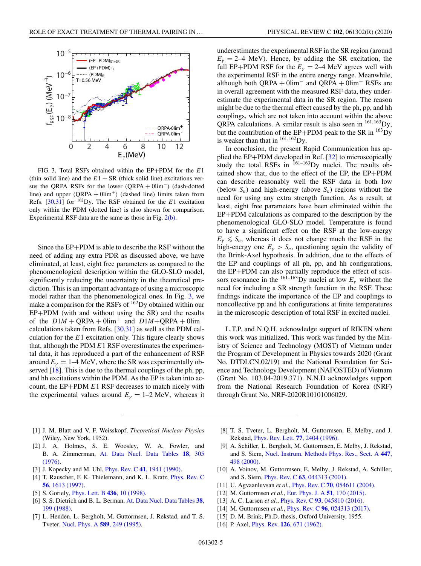<span id="page-4-0"></span>

FIG. 3. Total RSFs obtained within the EP+PDM for the *E*1 (thin solid line) and the  $E1 + SR$  (thick solid line) excitations versus the QRPA RSFs for the lower  $(QRPA + 0lim^-)$  (dash-dotted line) and upper  $(QRPA + 0lim<sup>+</sup>)$  (dashed line) limits taken from Refs.  $[30,31]$  for  $^{162}$ Dy. The RSF obtained for the *E*1 excitation only within the PDM (dotted line) is also shown for comparison. Experimental RSF data are the same as those in Fig. [2\(b\).](#page-3-0)

Since the EP+PDM is able to describe the RSF without the need of adding any extra PDR as discussed above, we have eliminated, at least, eight free parameters as compared to the phenomenological description within the GLO-SLO model, significantly reducing the uncertainty in the theoretical prediction. This is an important advantage of using a microscopic model rather than the phenomenological ones. In Fig. 3, we make a comparison for the RSFs of  $162$  Dy obtained within our EP+PDM (with and without using the SR) and the results of the  $D1M + QRPA + 0\text{lim}^+$  and  $D1M + QRPA + 0\text{lim}^$ calculations taken from Refs. [\[30,31\]](#page-5-0) as well as the PDM calculation for the *E*1 excitation only. This figure clearly shows that, although the PDM *E*1 RSF overestimates the experimental data, it has reproduced a part of the enhancement of RSF around  $E<sub>\gamma</sub> = 1-4$  MeV, where the SR was experimentally ob-served [\[18\]](#page-5-0). This is due to the thermal couplings of the ph, pp, and hh excitations within the PDM. As the EP is taken into account, the EP+PDM *E*1 RSF decreases to match nicely with the experimental values around  $E<sub>\gamma</sub> = 1-2$  MeV, whereas it

- [1] J. M. Blatt and V. F. Weisskopf, *Theoretical Nuclear Physics* (Wiley, New York, 1952).
- [2] J. A. Holmes, S. E. Woosley, W. A. Fowler, and B. A. Zimmerman, [At. Data Nucl. Data Tables](https://doi.org/10.1016/0092-640X(76)90011-5) **18**, 305 (1976).
- [3] J. Kopecky and M. Uhl, Phys. Rev. C **41**[, 1941 \(1990\).](https://doi.org/10.1103/PhysRevC.41.1941)
- [4] [T. Rauscher, F. K. Thielemann, and K. L. Kratz,](https://doi.org/10.1103/PhysRevC.56.1613) *Phys. Rev. C* **56**, 1613 (1997).
- [5] S. Goriely, [Phys. Lett. B](https://doi.org/10.1016/S0370-2693(98)00907-1) **436**, 10 (1998).
- [6] [S. S. Dietrich and B. L. Berman,](https://doi.org/10.1016/0092-640X(88)90033-2) At. Data Nucl. Data Tables **38**, 199 (1988).
- [7] L. Henden, L. Bergholt, M. Guttormsen, J. Rekstad, and T. S. Tveter, [Nucl. Phys. A](https://doi.org/10.1016/0375-9474(95)00133-L) **589**, 249 (1995).

underestimates the experimental RSF in the SR region (around  $E<sub>\gamma</sub> = 2-4$  MeV). Hence, by adding the SR excitation, the full EP+PDM RSF for the  $E<sub>v</sub> = 2-4$  MeV agrees well with the experimental RSF in the entire energy range. Meanwhile, although both QRPA +  $0$ lim<sup>-</sup> and QRPA +  $0$ lim<sup>+</sup> RSFs are in overall agreement with the measured RSF data, they underestimate the experimental data in the SR region. The reason might be due to the thermal effect caused by the ph, pp, and hh couplings, which are not taken into account within the above QRPA calculations. A similar result is also seen in  $^{161,163}$ Dy, but the contribution of the EP+PDM peak to the SR in  $^{163}$ Dy is weaker than that in  $^{161,162}$ Dy.

In conclusion, the present Rapid Communication has applied the EP+PDM developed in Ref. [\[32\]](#page-5-0) to microscopically study the total RSFs in  $^{161-163}$ Dy nuclei. The results obtained show that, due to the effect of the EP, the EP+PDM can describe reasonably well the RSF data in both low (below  $S_n$ ) and high-energy (above  $S_n$ ) regions without the need for using any extra strength function. As a result, at least, eight free parameters have been eliminated within the EP+PDM calculations as compared to the description by the phenomenological GLO-SLO model. Temperature is found to have a significant effect on the RSF at the low-energy  $E_{\gamma} \leqslant S_n$ , whereas it does not change much the RSF in the high-energy one  $E_{\gamma} > S_n$ , questioning again the validity of the Brink-Axel hypothesis. In addition, due to the effects of the EP and couplings of all ph, pp, and hh configurations, the EP+PDM can also partially reproduce the effect of scissors resonance in the <sup>161–163</sup>Dy nuclei at low  $E<sub>γ</sub>$  without the need for including a SR strength function in the RSF. These findings indicate the importance of the EP and couplings to noncollective pp and hh configurations at finite temperatures in the microscopic description of total RSF in excited nuclei.

L.T.P. and N.Q.H. acknowledge support of RIKEN where this work was initialized. This work was funded by the Ministry of Science and Technology (MOST) of Vietnam under the Program of Development in Physics towards 2020 (Grant No. DTDLCN.02/19) and the National Foundation for Science and Technology Development (NAFOSTED) of Vietnam (Grant No. 103.04-2019.371). N.N.D acknowledges support from the National Research Foundation of Korea (NRF) through Grant No. NRF-2020R10101006029.

- [8] T. S. Tveter, L. Bergholt, M. Guttormsen, E. Melby, and J. Rekstad, [Phys. Rev. Lett.](https://doi.org/10.1103/PhysRevLett.77.2404) **77**, 2404 (1996).
- [9] A. Schiller, L. Bergholt, M. Guttormsen, E. Melby, J. Rekstad, and S. Siem, [Nucl. Instrum. Methods Phys. Res., Sect. A](https://doi.org/10.1016/S0168-9002(99)01187-0) **447**, 498 (2000).
- [10] A. Voinov, M. Guttormsen, E. Melby, J. Rekstad, A. Schiller, and S. Siem, Phys. Rev. C **63**[, 044313 \(2001\).](https://doi.org/10.1103/PhysRevC.63.044313)
- [11] U. Agvaanluvsan *et al.*, Phys. Rev. C **70**[, 054611 \(2004\).](https://doi.org/10.1103/PhysRevC.70.054611)
- [12] M. Guttormsen *et al.*, [Eur. Phys. J. A](https://doi.org/10.1140/epja/i2015-15170-4) **51**, 170 (2015).
- [13] A. C. Larsen *et al.*, Phys. Rev. C **93**[, 045810 \(2016\).](https://doi.org/10.1103/PhysRevC.93.045810)
- [14] M. Guttormsen *et al.*, Phys. Rev. C **96**[, 024313 \(2017\).](https://doi.org/10.1103/PhysRevC.96.024313)
- [15] D. M. Brink, Ph.D. thesis, Oxford University, 1955.
- [16] P. Axel, Phys. Rev. **126**[, 671 \(1962\).](https://doi.org/10.1103/PhysRev.126.671)